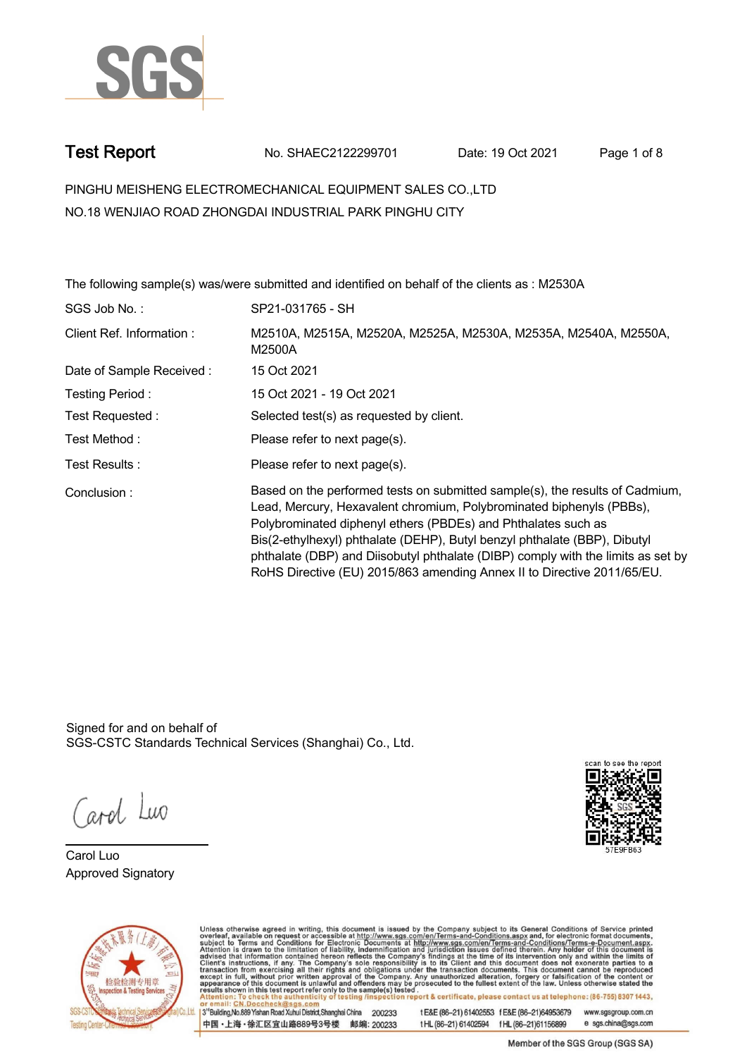

**Test Report. No. SHAEC2122299701 Date: 19 Oct 2021. Page 1 of 8.**

**PINGHU MEISHENG ELECTROMECHANICAL EQUIPMENT SALES CO.,LTD . NO.18 WENJIAO ROAD ZHONGDAI INDUSTRIAL PARK PINGHU CITY**

**The following sample(s) was/were submitted and identified on behalf of the clients as : M2530A . SGS Job No. : SP21-031765 - SH. Client Ref. Information : . M2510A, M2515A, M2520A, M2525A, M2530A, M2535A, M2540A, M2550A, M2500A. Date of Sample Received : . 15 Oct 2021. Testing Period :. 15 Oct 2021 - 19 Oct 2021 . Test Requested :. Selected test(s) as requested by client. . Please refer to next page(s). . Please refer to next page(s). . Test Method :. Test Results :. Conclusion :. Based on the performed tests on submitted sample(s), the results of Cadmium, Lead, Mercury, Hexavalent chromium, Polybrominated biphenyls (PBBs), Polybrominated diphenyl ethers (PBDEs) and Phthalates such as Bis(2-ethylhexyl) phthalate (DEHP), Butyl benzyl phthalate (BBP), Dibutyl phthalate (DBP) and Diisobutyl phthalate (DIBP) comply with the limits as set by RoHS Directive (EU) 2015/863 amending Annex II to Directive 2011/65/EU. .**

Signed for and on behalf of SGS-CSTC Standards Technical Services (Shanghai) Co., Ltd..

ard Luo

**Carol Luo. Approved Signatory .**





Unless otherwise agreed in writing, this document is issued by the Company subject to its General Conditions of Service printed overleaf, available on request or accessible at http://www.sgs.com/en/Terms-and-Conditions.asp

3<sup>rd</sup> Building No.889 Yishan Road Xuhui District Shanghai China 200233 中国·上海·徐汇区宜山路889号3号楼 邮编: 200233 t E&E (86-21) 61402553 f E&E (86-21)64953679 www.sgsgroup.com.cn

tHL (86-21) 61402594 fHL (86-21)61156899 e sgs.china@sgs.com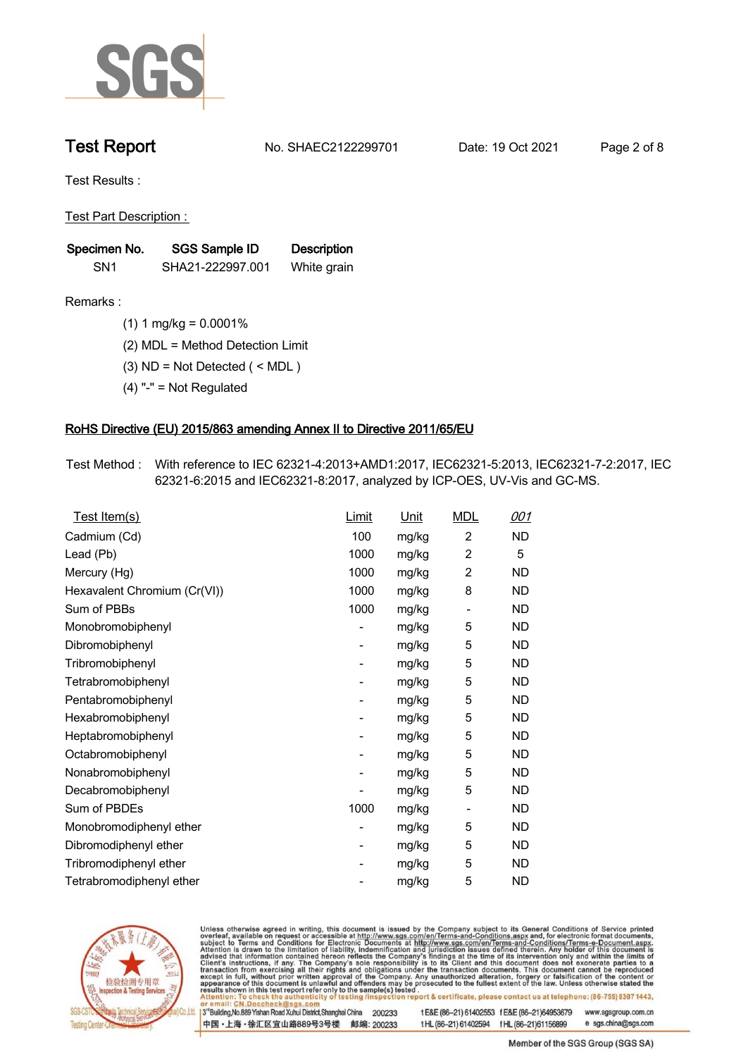

**Test Report. No. SHAEC2122299701 Date: 19 Oct 2021. Page 2 of 8.**

**Test Results :.**

**Test Part Description : .**

| Specimen No.    | <b>SGS Sample ID</b> | <b>Description</b> |  |
|-----------------|----------------------|--------------------|--|
| SN <sub>1</sub> | SHA21-222997.001     | White grain        |  |

- **Remarks :.(1) 1 mg/kg = 0.0001% .**
	- **(2) MDL = Method Detection Limit .**
	- **(3) ND = Not Detected ( < MDL ) .**
	- **(4) "-" = Not Regulated .**

### **RoHS Directive (EU) 2015/863 amending Annex II to Directive 2011/65/EU.**

**Test Method :. With reference to IEC 62321-4:2013+AMD1:2017, IEC62321-5:2013, IEC62321-7-2:2017, IEC 62321-6:2015 and IEC62321-8:2017, analyzed by ICP-OES, UV-Vis and GC-MS. .**

| Test Item(s)                 | Limit | <u>Unit</u> | <b>MDL</b>               | 001       |
|------------------------------|-------|-------------|--------------------------|-----------|
| Cadmium (Cd)                 | 100   | mg/kg       | $\overline{2}$           | ND        |
| Lead (Pb)                    | 1000  | mg/kg       | $\overline{2}$           | 5         |
| Mercury (Hg)                 | 1000  | mg/kg       | $\overline{2}$           | <b>ND</b> |
| Hexavalent Chromium (Cr(VI)) | 1000  | mg/kg       | 8                        | <b>ND</b> |
| Sum of PBBs                  | 1000  | mg/kg       | $\overline{a}$           | ND.       |
| Monobromobiphenyl            |       | mg/kg       | 5                        | ND.       |
| Dibromobiphenyl              | -     | mg/kg       | 5                        | ND.       |
| Tribromobiphenyl             |       | mg/kg       | 5                        | ND.       |
| Tetrabromobiphenyl           | -     | mg/kg       | 5                        | ND        |
| Pentabromobiphenyl           |       | mg/kg       | 5                        | <b>ND</b> |
| Hexabromobiphenyl            | -     | mg/kg       | 5                        | ND.       |
| Heptabromobiphenyl           |       | mg/kg       | 5                        | <b>ND</b> |
| Octabromobiphenyl            |       | mg/kg       | 5                        | ND        |
| Nonabromobiphenyl            |       | mg/kg       | 5                        | ND.       |
| Decabromobiphenyl            |       | mg/kg       | 5                        | ND        |
| Sum of PBDEs                 | 1000  | mg/kg       | $\overline{\phantom{a}}$ | ND.       |
| Monobromodiphenyl ether      |       | mg/kg       | 5                        | ND        |
| Dibromodiphenyl ether        | -     | mg/kg       | 5                        | ND.       |
| Tribromodiphenyl ether       | -     | mg/kg       | 5                        | <b>ND</b> |
| Tetrabromodiphenyl ether     |       | mg/kg       | 5                        | <b>ND</b> |



Unless otherwise agreed in writing, this document is issued by the Company subject to its General Conditions of Service printed overleaf, available on request or accessible at http://www.sgs.com/en/Terms-and-Conditions.asp

3<sup>rd</sup> Building, No.889 Yishan Road Xuhui District, Shanghai China 200233 中国·上海·徐汇区宜山路889号3号楼 邮编: 200233 tE&E (86-21) 61402553 fE&E (86-21)64953679 www.sgsgroup.com.cn

t HL (86-21) 61402594 f HL (86-21) 61156899 e sgs.china@sgs.com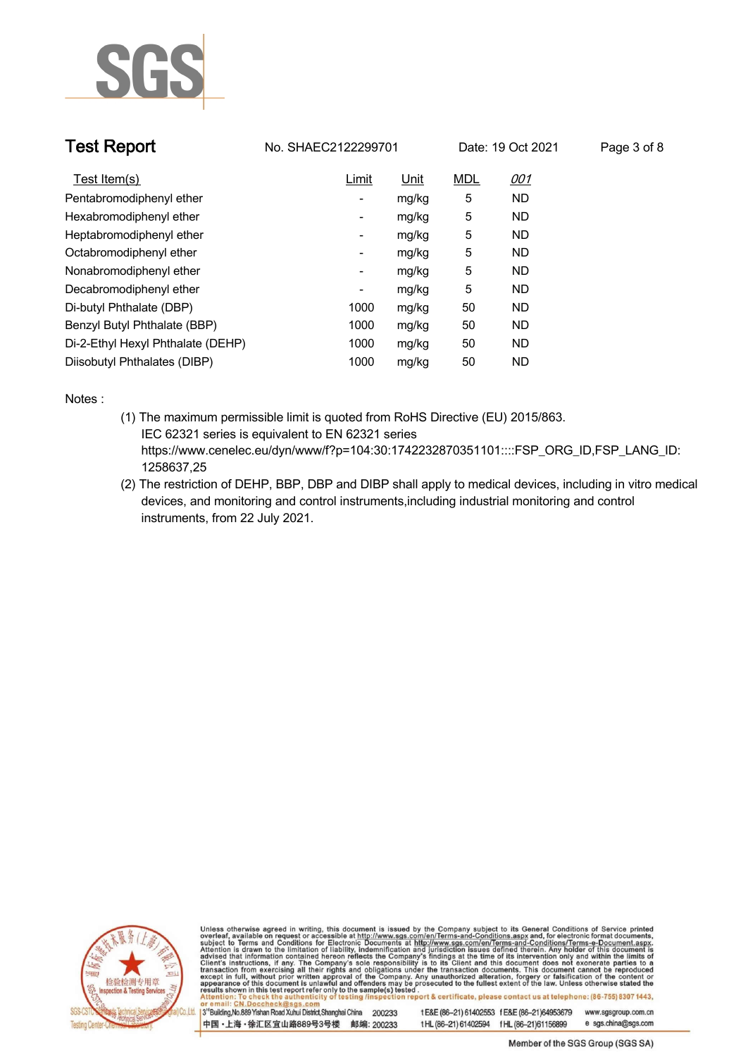

| <b>Test Report</b>                | No. SHAEC2122299701      |             |            | Date: 19 Oct 2021 | Page 3 of 8 |
|-----------------------------------|--------------------------|-------------|------------|-------------------|-------------|
| Test Item(s)                      | <b>Limit</b>             | <u>Unit</u> | <b>MDL</b> | <u>001</u>        |             |
| Pentabromodiphenyl ether          | -                        | mg/kg       | 5          | <b>ND</b>         |             |
| Hexabromodiphenyl ether           | $\overline{\phantom{a}}$ | mg/kg       | 5          | ND.               |             |
| Heptabromodiphenyl ether          | -                        | mg/kg       | 5          | ND.               |             |
| Octabromodiphenyl ether           | -                        | mg/kg       | 5          | <b>ND</b>         |             |
| Nonabromodiphenyl ether           | $\overline{\phantom{a}}$ | mg/kg       | 5          | <b>ND</b>         |             |
| Decabromodiphenyl ether           | -                        | mg/kg       | 5          | <b>ND</b>         |             |
| Di-butyl Phthalate (DBP)          | 1000                     | mg/kg       | 50         | <b>ND</b>         |             |
| Benzyl Butyl Phthalate (BBP)      | 1000                     | mg/kg       | 50         | ND.               |             |
| Di-2-Ethyl Hexyl Phthalate (DEHP) | 1000                     | mg/kg       | 50         | <b>ND</b>         |             |
| Diisobutyl Phthalates (DIBP)      | 1000                     | mg/kg       | 50         | <b>ND</b>         |             |

**Notes :.**

- **(1) The maximum permissible limit is quoted from RoHS Directive (EU) 2015/863. IEC 62321 series is equivalent to EN 62321 series https://www.cenelec.eu/dyn/www/f?p=104:30:1742232870351101::::FSP\_ORG\_ID,FSP\_LANG\_ID: 1258637,25**
- **(2) The restriction of DEHP, BBP, DBP and DIBP shall apply to medical devices, including in vitro medical devices, and monitoring and control instruments,including industrial monitoring and control instruments, from 22 July 2021. .**



Unless otherwise agreed in writing, this document is issued by the Company subject to its General Conditions of Service printed overleaf, available on request or accessible at http://www.sgs.com/en/Terms-and-Conditions.asp

3<sup>rd</sup>Building, No.889 Yishan Road Xuhui District, Shanghai China 200233 中国·上海·徐汇区宜山路889号3号楼 邮编: 200233 t E&E (86-21) 61402553 f E&E (86-21)64953679

www.sgsgroup.com.cn e sgs.china@sgs.com t HL (86-21) 61402594 f HL (86-21) 61156899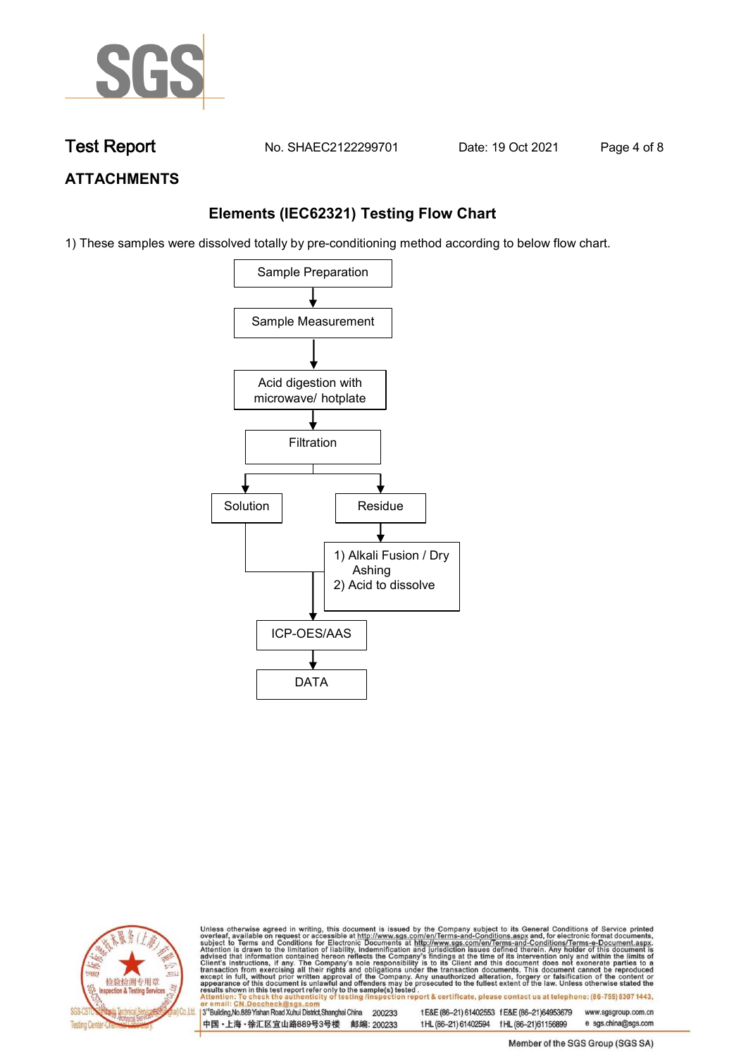

**Test Report. No. SHAEC2122299701** Date: 19 Oct 2021 Page 4 of 8

## **ATTACHMENTS**

## **Elements (IEC62321) Testing Flow Chart**

1) These samples were dissolved totally by pre-conditioning method according to below flow chart.





Unless otherwise agreed in writing, this document is issued by the Company subject to its General Conditions of Service printed overleaf, available on request or accessible at http://www.sgs.com/en/Terms-and-Conditions.asp

13<sup>rd</sup> Building, No.889 Yishan Road Xuhui District, Shanghai China 200233 中国·上海·徐汇区宜山路889号3号楼 邮编: 200233 tE&E (86-21) 61402553 fE&E (86-21)64953679 www.sgsgroup.com.cn e sgs.china@sgs.com t HL (86-21) 61402594 f HL (86-21) 61156899

Member of the SGS Group (SGS SA)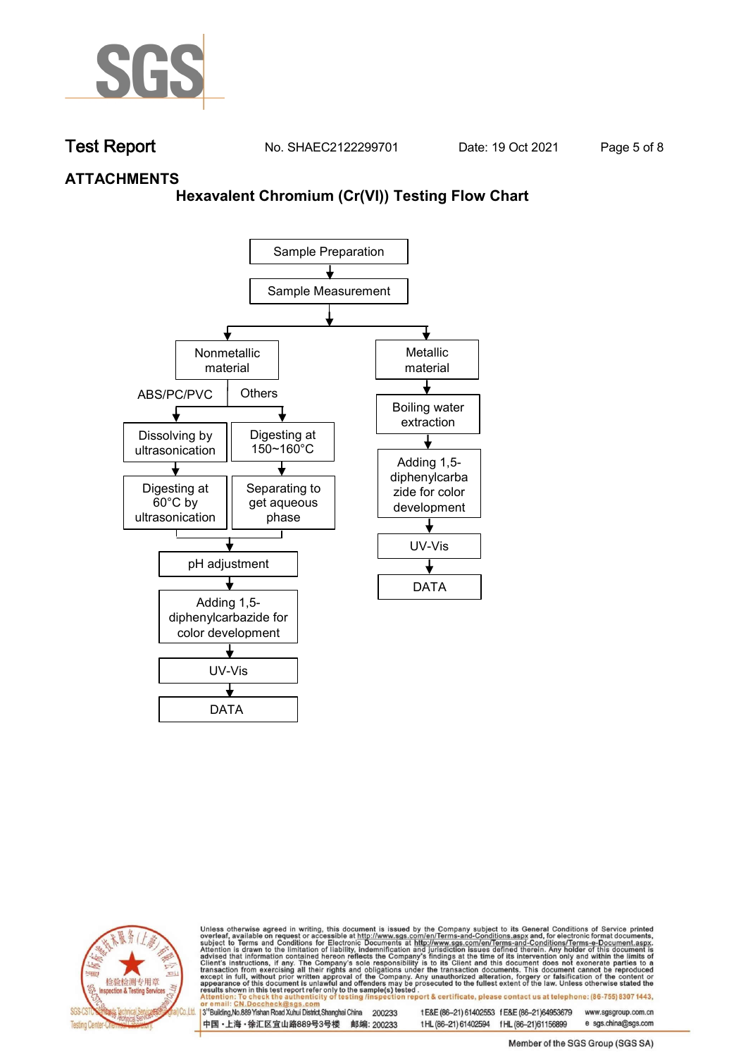

**Test Report. No. SHAEC2122299701** Date: 19 Oct 2021 Page 5 of 8

### **ATTACHMENTS**

### **Hexavalent Chromium (Cr(VI)) Testing Flow Chart**





Unless otherwise agreed in writing, this document is issued by the Company subject to its General Conditions of Service printed overleaf, available on request or accessible at http://www.sgs.com/en/Terms-and-Conditions.asp

3<sup>rd</sup> Building, No.889 Yishan Road Xuhui District, Shanghai China 200233 中国·上海·徐汇区宜山路889号3号楼 邮编: 200233 tE&E (86-21) 61402553 fE&E (86-21)64953679 www.sgsgroup.com.cn

t HL (86-21) 61402594 f HL (86-21) 61156899 e sgs.china@sgs.com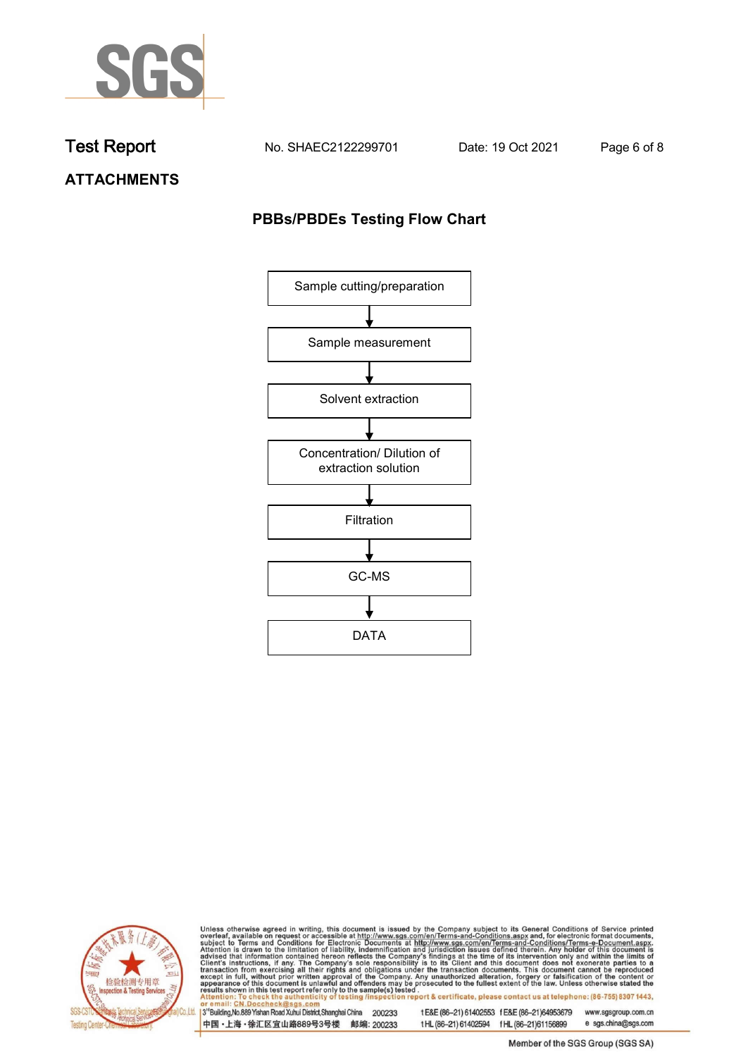

**Test Report. No. SHAEC2122299701 Date: 19 Oct 2021. Page 6 of 8.**

**ATTACHMENTS**

## **PBBs/PBDEs Testing Flow Chart**





Unless otherwise agreed in writing, this document is issued by the Company subject to its General Conditions of Service printed overleaf, available on request or accessible at http://www.sgs.com/en/Terms-and-Conditions.asp

3<sup>'</sup>Building, No.889 Yishan Road Xuhui District, Shanghai China 200233 中国·上海·徐汇区宜山路889号3号楼 邮编: 200233

tE&E (86-21) 61402553 fE&E (86-21)64953679 www.sgsgroup.com.cn

t HL (86-21) 61402594 f HL (86-21) 61156899 e sgs.china@sgs.com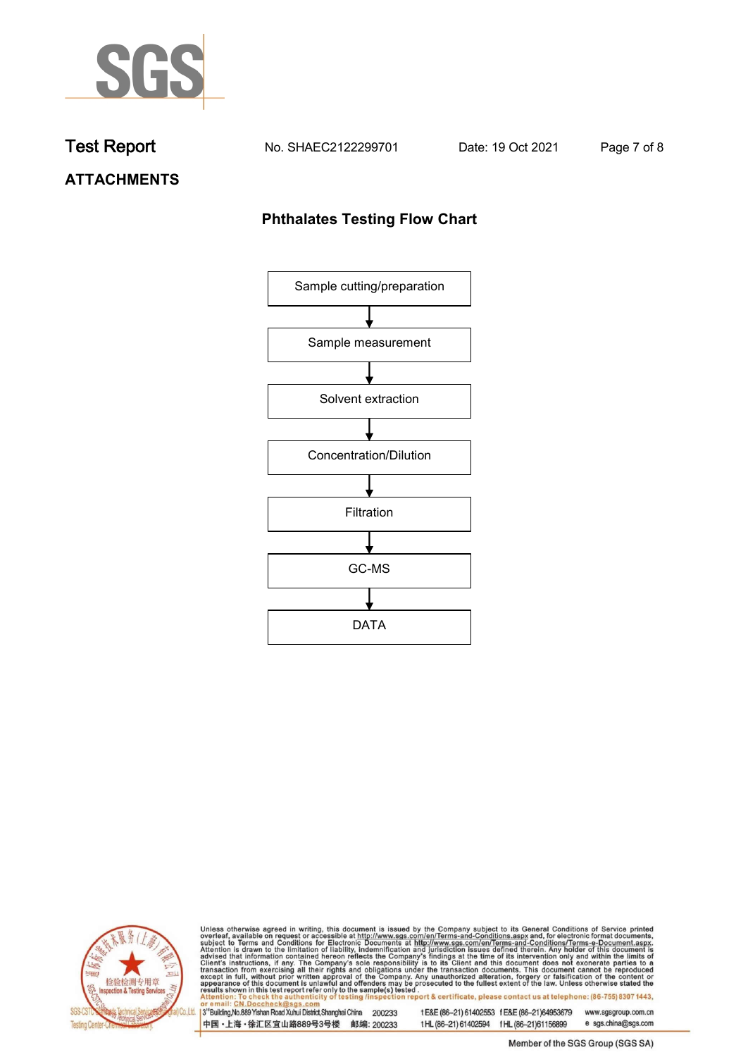

**Test Report. No. SHAEC2122299701 Date: 19 Oct 2021. Page 7 of 8.**

# **ATTACHMENTS**

## **Phthalates Testing Flow Chart**





Unless otherwise agreed in writing, this document is issued by the Company subject to its General Conditions of Service printed overleaf, available on request or accessible at http://www.sgs.com/en/Terms-and-Conditions.asp

3<sup>'</sup>Building, No.889 Yishan Road Xuhui District, Shanghai China 200233 中国·上海·徐汇区宜山路889号3号楼 邮编: 200233

tE&E (86-21) 61402553 fE&E (86-21)64953679 www.sgsgroup.com.cn

e sgs.china@sgs.com t HL (86-21) 61402594 f HL (86-21) 61156899 Member of the SGS Group (SGS SA)